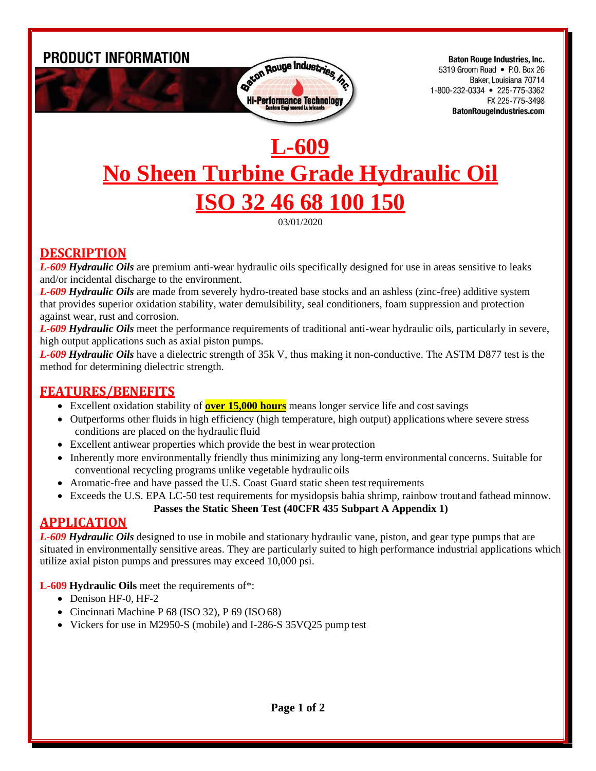PRODUCT INFORMATION



**Baton Rouge Industries, Inc.** 5319 Groom Road • P.O. Box 26 Baker, Louisiana 70714 1-800-232-0334 • 225-775-3362 FX 225-775-3498 **BatonRougeIndustries.com** 

# **L-609 No Sheen Turbine Grade Hydraulic Oil ISO 32 46 68 100 150**

03/01/2020

## **DESCRIPTION**

*L-609 Hydraulic Oils* are premium anti-wear hydraulic oils specifically designed for use in areas sensitive to leaks and/or incidental discharge to the environment.

*L-609 Hydraulic Oils* are made from severely hydro-treated base stocks and an ashless (zinc-free) additive system that provides superior oxidation stability, water demulsibility, seal conditioners, foam suppression and protection against wear, rust and corrosion.

*L-609 Hydraulic Oils* meet the performance requirements of traditional anti-wear hydraulic oils, particularly in severe, high output applications such as axial piston pumps.

*L-609 Hydraulic Oils* have a dielectric strength of 35k V, thus making it non-conductive. The ASTM D877 test is the method for determining dielectric strength.

## **FEATURES/BENEFITS**

- Excellent oxidation stability of **over 15,000 hours** means longer service life and cost savings
- Outperforms other fluids in high efficiency (high temperature, high output) applications where severe stress conditions are placed on the hydraulic fluid
- Excellent antiwear properties which provide the best in wear protection
- Inherently more environmentally friendly thus minimizing any long-term environmental concerns. Suitable for conventional recycling programs unlike vegetable hydraulic oils
- Aromatic-free and have passed the U.S. Coast Guard static sheen test requirements
- Exceeds the U.S. EPA LC-50 test requirements for mysidopsis bahia shrimp, rainbow troutand fathead minnow.

#### **Passes the Static Sheen Test (40CFR 435 Subpart A Appendix 1)**

## **APPLICATION**

*L-609 Hydraulic Oils* designed to use in mobile and stationary hydraulic vane, piston, and gear type pumps that are situated in environmentally sensitive areas. They are particularly suited to high performance industrial applications which utilize axial piston pumps and pressures may exceed 10,000 psi.

**L-609 Hydraulic Oils** meet the requirements of\*:

- Denison HF-0, HF-2
- Cincinnati Machine P 68 (ISO 32), P 69 (ISO 68)
- Vickers for use in M2950-S (mobile) and I-286-S 35VQ25 pump test